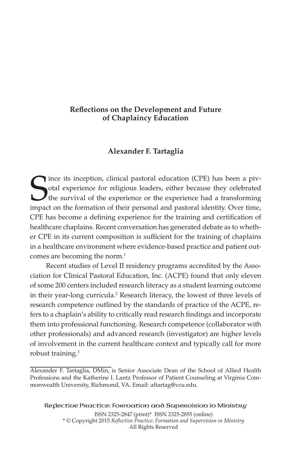# **Reflections on the Development and Future of Chaplaincy Education**

# **Alexander F. Tartaglia**

Since its inception, clinical pastoral education (CPE) has been a piv-<br>otal experience for religious leaders, either because they celebrated<br>the survival of the experience or the experience had a transforming<br>impact on the otal experience for religious leaders, either because they celebrated the survival of the experience or the experience had a transforming impact on the formation of their personal and pastoral identity. Over time, CPE has become a defining experience for the training and certification of healthcare chaplains. Recent conversation has generated debate as to whether CPE in its current composition is sufficient for the training of chaplains in a healthcare environment where evidence-based practice and patient outcomes are becoming the norm.<sup>1</sup>

Recent studies of Level II residency programs accredited by the Association for Clinical Pastoral Education, Inc. (ACPE) found that only eleven of some 200 centers included research literacy as a student learning outcome in their year-long curricula.<sup>2</sup> Research literacy, the lowest of three levels of research competence outlined by the standards of practice of the ACPE, refers to a chaplain's ability to critically read research findings and incorporate them into professional functioning. Research competence (collaborator with other professionals) and advanced research (investigator) are higher levels of involvement in the current healthcare context and typically call for more robust training.<sup>3</sup>

Reflective Practice: Formation and Supervision in Ministry ISSN 2325-2847 (print)\* ISSN 2325-2855 (online) \* © Copyright 2015 *Reflective Practice: Formation and Supervision in Ministry* All Rights Reserved

Alexander F. Tartaglia, DMin, is Senior Associate Dean of the School of Allied Health Professions and the Katherine I. Lantz Professor of Patient Counseling at Virginia Commonwealth University, Richmond, VA. Email: aftartag@vcu.edu.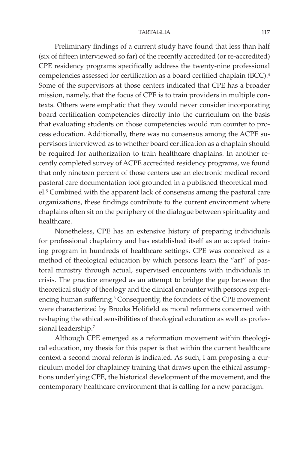Preliminary findings of a current study have found that less than half (six of fifteen interviewed so far) of the recently accredited (or re-accredited) CPE residency programs specifically address the twenty-nine professional competencies assessed for certification as a board certified chaplain (BCC).4 Some of the supervisors at those centers indicated that CPE has a broader mission, namely, that the focus of CPE is to train providers in multiple contexts. Others were emphatic that they would never consider incorporating board certification competencies directly into the curriculum on the basis that evaluating students on those competencies would run counter to process education. Additionally, there was no consensus among the ACPE supervisors interviewed as to whether board certification as a chaplain should be required for authorization to train healthcare chaplains. In another recently completed survey of ACPE accredited residency programs, we found that only nineteen percent of those centers use an electronic medical record pastoral care documentation tool grounded in a published theoretical model.<sup>5</sup> Combined with the apparent lack of consensus among the pastoral care organizations, these findings contribute to the current environment where chaplains often sit on the periphery of the dialogue between spirituality and healthcare.

Nonetheless, CPE has an extensive history of preparing individuals for professional chaplaincy and has established itself as an accepted training program in hundreds of healthcare settings. CPE was conceived as a method of theological education by which persons learn the "art" of pastoral ministry through actual, supervised encounters with individuals in crisis. The practice emerged as an attempt to bridge the gap between the theoretical study of theology and the clinical encounter with persons experiencing human suffering.<sup>6</sup> Consequently, the founders of the CPE movement were characterized by Brooks Holifield as moral reformers concerned with reshaping the ethical sensibilities of theological education as well as professional leadership.7

Although CPE emerged as a reformation movement within theological education, my thesis for this paper is that within the current healthcare context a second moral reform is indicated. As such, I am proposing a curriculum model for chaplaincy training that draws upon the ethical assumptions underlying CPE, the historical development of the movement, and the contemporary healthcare environment that is calling for a new paradigm.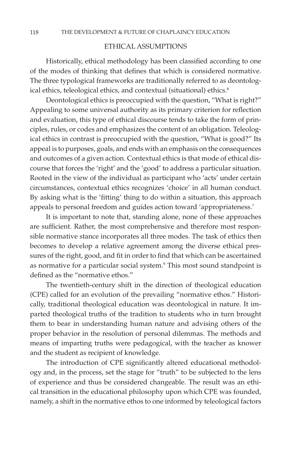## ETHICAL ASSUMPTIONS

Historically, ethical methodology has been classified according to one of the modes of thinking that defines that which is considered normative. The three typological frameworks are traditionally referred to as deontological ethics, teleological ethics, and contextual (situational) ethics.<sup>8</sup>

Deontological ethics is preoccupied with the question, "What is right?" Appealing to some universal authority as its primary criterion for reflection and evaluation, this type of ethical discourse tends to take the form of principles, rules, or codes and emphasizes the content of an obligation. Teleological ethics in contrast is preoccupied with the question, "What is good?" Its appeal is to purposes, goals, and ends with an emphasis on the consequences and outcomes of a given action. Contextual ethics is that mode of ethical discourse that forces the 'right' and the 'good' to address a particular situation. Rooted in the view of the individual as participant who 'acts' under certain circumstances, contextual ethics recognizes 'choice' in all human conduct. By asking what is the 'fitting' thing to do within a situation, this approach appeals to personal freedom and guides action toward 'appropriateness.'

It is important to note that, standing alone, none of these approaches are sufficient. Rather, the most comprehensive and therefore most responsible normative stance incorporates all three modes. The task of ethics then becomes to develop a relative agreement among the diverse ethical pressures of the right, good, and fit in order to find that which can be ascertained as normative for a particular social system.<sup>9</sup> This most sound standpoint is defined as the "normative ethos."

The twentieth-century shift in the direction of theological education (CPE) called for an evolution of the prevailing "normative ethos." Historically, traditional theological education was deontological in nature. It imparted theological truths of the tradition to students who in turn brought them to bear in understanding human nature and advising others of the proper behavior in the resolution of personal dilemmas. The methods and means of imparting truths were pedagogical, with the teacher as knower and the student as recipient of knowledge.

The introduction of CPE significantly altered educational methodology and, in the process, set the stage for "truth" to be subjected to the lens of experience and thus be considered changeable. The result was an ethical transition in the educational philosophy upon which CPE was founded, namely, a shift in the normative ethos to one informed by teleological factors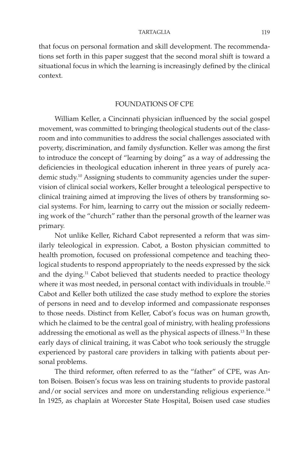that focus on personal formation and skill development. The recommendations set forth in this paper suggest that the second moral shift is toward a situational focus in which the learning is increasingly defined by the clinical context.

## FOUNDATIONS OF CPE

William Keller, a Cincinnati physician influenced by the social gospel movement, was committed to bringing theological students out of the classroom and into communities to address the social challenges associated with poverty, discrimination, and family dysfunction. Keller was among the first to introduce the concept of "learning by doing" as a way of addressing the deficiencies in theological education inherent in three years of purely academic study.<sup>10</sup> Assigning students to community agencies under the supervision of clinical social workers, Keller brought a teleological perspective to clinical training aimed at improving the lives of others by transforming social systems. For him, learning to carry out the mission or socially redeeming work of the "church" rather than the personal growth of the learner was primary.

Not unlike Keller, Richard Cabot represented a reform that was similarly teleological in expression. Cabot, a Boston physician committed to health promotion, focused on professional competence and teaching theological students to respond appropriately to the needs expressed by the sick and the dying.<sup>11</sup> Cabot believed that students needed to practice theology where it was most needed, in personal contact with individuals in trouble.<sup>12</sup> Cabot and Keller both utilized the case study method to explore the stories of persons in need and to develop informed and compassionate responses to those needs. Distinct from Keller, Cabot's focus was on human growth, which he claimed to be the central goal of ministry, with healing professions addressing the emotional as well as the physical aspects of illness.13 In these early days of clinical training, it was Cabot who took seriously the struggle experienced by pastoral care providers in talking with patients about personal problems.

The third reformer, often referred to as the "father" of CPE, was Anton Boisen. Boisen's focus was less on training students to provide pastoral and/or social services and more on understanding religious experience.<sup>14</sup> In 1925, as chaplain at Worcester State Hospital, Boisen used case studies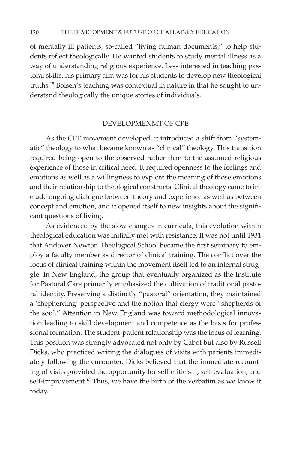of mentally ill patients, so-called "living human documents," to help students reflect theologically. He wanted students to study mental illness as a way of understanding religious experience. Less interested in teaching pastoral skills, his primary aim was for his students to develop new theological truths.15 Boisen's teaching was contextual in nature in that he sought to understand theologically the unique stories of individuals.

## DEVELOPMENMT OF CPE

As the CPE movement developed, it introduced a shift from "systematic" theology to what became known as "clinical" theology. This transition required being open to the observed rather than to the assumed religious experience of those in critical need. It required openness to the feelings and emotions as well as a willingness to explore the meaning of those emotions and their relationship to theological constructs. Clinical theology came to include ongoing dialogue between theory and experience as well as between concept and emotion, and it opened itself to new insights about the significant questions of living.

As evidenced by the slow changes in curricula, this evolution within theological education was initially met with resistance. It was not until 1931 that Andover Newton Theological School became the first seminary to employ a faculty member as director of clinical training. The conflict over the focus of clinical training within the movement itself led to an internal struggle. In New England, the group that eventually organized as the Institute for Pastoral Care primarily emphasized the cultivation of traditional pastoral identity. Preserving a distinctly "pastoral" orientation, they maintained a 'shepherding' perspective and the notion that clergy were "shepherds of the soul." Attention in New England was toward methodological innovation leading to skill development and competence as the basis for professional formation. The student-patient relationship was the locus of learning. This position was strongly advocated not only by Cabot but also by Russell Dicks, who practiced writing the dialogues of visits with patients immediately following the encounter. Dicks believed that the immediate recounting of visits provided the opportunity for self-criticism, self-evaluation, and self-improvement.<sup>16</sup> Thus, we have the birth of the verbatim as we know it today.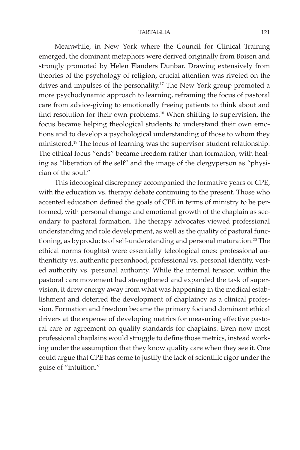Meanwhile, in New York where the Council for Clinical Training emerged, the dominant metaphors were derived originally from Boisen and strongly promoted by Helen Flanders Dunbar. Drawing extensively from theories of the psychology of religion, crucial attention was riveted on the drives and impulses of the personality.<sup>17</sup> The New York group promoted a more psychodynamic approach to learning, reframing the focus of pastoral care from advice-giving to emotionally freeing patients to think about and find resolution for their own problems.<sup>18</sup> When shifting to supervision, the focus became helping theological students to understand their own emotions and to develop a psychological understanding of those to whom they ministered.19 The locus of learning was the supervisor-student relationship. The ethical focus "ends" became freedom rather than formation, with healing as "liberation of the self" and the image of the clergyperson as "physician of the soul."

This ideological discrepancy accompanied the formative years of CPE, with the education vs. therapy debate continuing to the present. Those who accented education defined the goals of CPE in terms of ministry to be performed, with personal change and emotional growth of the chaplain as secondary to pastoral formation. The therapy advocates viewed professional understanding and role development, as well as the quality of pastoral functioning, as byproducts of self-understanding and personal maturation.<sup>20</sup> The ethical norms (oughts) were essentially teleological ones: professional authenticity vs. authentic personhood, professional vs. personal identity, vested authority vs. personal authority. While the internal tension within the pastoral care movement had strengthened and expanded the task of supervision, it drew energy away from what was happening in the medical establishment and deterred the development of chaplaincy as a clinical profession. Formation and freedom became the primary foci and dominant ethical drivers at the expense of developing metrics for measuring effective pastoral care or agreement on quality standards for chaplains. Even now most professional chaplains would struggle to define those metrics, instead working under the assumption that they know quality care when they see it. One could argue that CPE has come to justify the lack of scientific rigor under the guise of "intuition."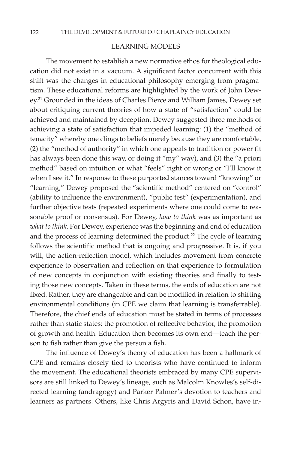## LEARNING MODELS

The movement to establish a new normative ethos for theological education did not exist in a vacuum. A significant factor concurrent with this shift was the changes in educational philosophy emerging from pragmatism. These educational reforms are highlighted by the work of John Dewey.<sup>21</sup> Grounded in the ideas of Charles Pierce and William James, Dewey set about critiquing current theories of how a state of "satisfaction" could be achieved and maintained by deception. Dewey suggested three methods of achieving a state of satisfaction that impeded learning: (1) the "method of tenacity" whereby one clings to beliefs merely because they are comfortable, (2) the "method of authority" in which one appeals to tradition or power (it has always been done this way, or doing it "my" way), and (3) the "a priori method" based on intuition or what "feels" right or wrong or "I'll know it when I see it." In response to these purported stances toward "knowing" or "learning," Dewey proposed the "scientific method" centered on "control" (ability to influence the environment), "public test" (experimentation), and further objective tests (repeated experiments where one could come to reasonable proof or consensus). For Dewey, *how to think* was as important as *what to think.* For Dewey, experience was the beginning and end of education and the process of learning determined the product.<sup>22</sup> The cycle of learning follows the scientific method that is ongoing and progressive. It is, if you will, the action-reflection model, which includes movement from concrete experience to observation and reflection on that experience to formulation of new concepts in conjunction with existing theories and finally to testing those new concepts. Taken in these terms, the ends of education are not fixed. Rather, they are changeable and can be modified in relation to shifting environmental conditions (in CPE we claim that learning is transferrable). Therefore, the chief ends of education must be stated in terms of processes rather than static states: the promotion of reflective behavior, the promotion of growth and health. Education then becomes its own end—teach the person to fish rather than give the person a fish.

The influence of Dewey's theory of education has been a hallmark of CPE and remains closely tied to theorists who have continued to inform the movement. The educational theorists embraced by many CPE supervisors are still linked to Dewey's lineage, such as Malcolm Knowles's self-directed learning (andragogy) and Parker Palmer's devotion to teachers and learners as partners. Others, like Chris Argyris and David Schon, have in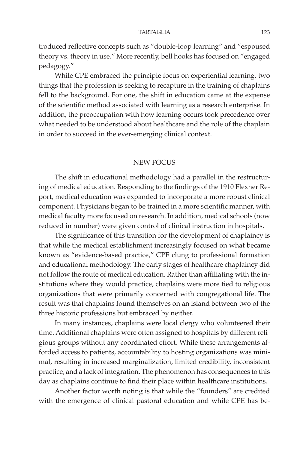troduced reflective concepts such as "double-loop learning" and "espoused theory vs. theory in use." More recently, bell hooks has focused on "engaged pedagogy."

While CPE embraced the principle focus on experiential learning, two things that the profession is seeking to recapture in the training of chaplains fell to the background. For one, the shift in education came at the expense of the scientific method associated with learning as a research enterprise. In addition, the preoccupation with how learning occurs took precedence over what needed to be understood about healthcare and the role of the chaplain in order to succeed in the ever-emerging clinical context.

## NEW FOCUS

The shift in educational methodology had a parallel in the restructuring of medical education. Responding to the findings of the 1910 Flexner Report, medical education was expanded to incorporate a more robust clinical component. Physicians began to be trained in a more scientific manner, with medical faculty more focused on research. In addition, medical schools (now reduced in number) were given control of clinical instruction in hospitals.

The significance of this transition for the development of chaplaincy is that while the medical establishment increasingly focused on what became known as "evidence-based practice," CPE clung to professional formation and educational methodology. The early stages of healthcare chaplaincy did not follow the route of medical education. Rather than affiliating with the institutions where they would practice, chaplains were more tied to religious organizations that were primarily concerned with congregational life. The result was that chaplains found themselves on an island between two of the three historic professions but embraced by neither.

In many instances, chaplains were local clergy who volunteered their time. Additional chaplains were often assigned to hospitals by different religious groups without any coordinated effort. While these arrangements afforded access to patients, accountability to hosting organizations was minimal, resulting in increased marginalization, limited credibility, inconsistent practice, and a lack of integration. The phenomenon has consequences to this day as chaplains continue to find their place within healthcare institutions.

Another factor worth noting is that while the "founders" are credited with the emergence of clinical pastoral education and while CPE has be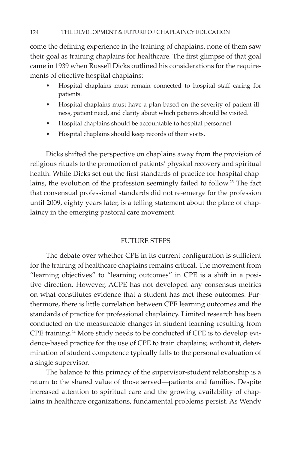come the defining experience in the training of chaplains, none of them saw their goal as training chaplains for healthcare. The first glimpse of that goal came in 1939 when Russell Dicks outlined his considerations for the requirements of effective hospital chaplains:

- Hospital chaplains must remain connected to hospital staff caring for patients.
- Hospital chaplains must have a plan based on the severity of patient illness, patient need, and clarity about which patients should be visited.
- • Hospital chaplains should be accountable to hospital personnel.
- Hospital chaplains should keep records of their visits.

Dicks shifted the perspective on chaplains away from the provision of religious rituals to the promotion of patients' physical recovery and spiritual health. While Dicks set out the first standards of practice for hospital chaplains, the evolution of the profession seemingly failed to follow.<sup>23</sup> The fact that consensual professional standards did not re-emerge for the profession until 2009, eighty years later, is a telling statement about the place of chaplaincy in the emerging pastoral care movement.

## FUTURE STEPS

The debate over whether CPE in its current configuration is sufficient for the training of healthcare chaplains remains critical. The movement from "learning objectives" to "learning outcomes" in CPE is a shift in a positive direction. However, ACPE has not developed any consensus metrics on what constitutes evidence that a student has met these outcomes. Furthermore, there is little correlation between CPE learning outcomes and the standards of practice for professional chaplaincy. Limited research has been conducted on the measureable changes in student learning resulting from CPE training.24 More study needs to be conducted if CPE is to develop evidence-based practice for the use of CPE to train chaplains; without it, determination of student competence typically falls to the personal evaluation of a single supervisor.

The balance to this primacy of the supervisor-student relationship is a return to the shared value of those served—patients and families. Despite increased attention to spiritual care and the growing availability of chaplains in healthcare organizations, fundamental problems persist. As Wendy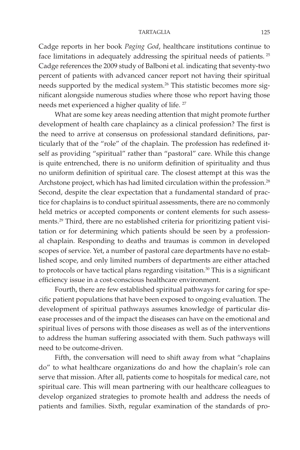Cadge reports in her book *Paging God*, healthcare institutions continue to face limitations in adequately addressing the spiritual needs of patients. 25 Cadge references the 2009 study of Balboni et al. indicating that seventy-two percent of patients with advanced cancer report not having their spiritual needs supported by the medical system.<sup>26</sup> This statistic becomes more significant alongside numerous studies where those who report having those needs met experienced a higher quality of life. 27

What are some key areas needing attention that might promote further development of health care chaplaincy as a clinical profession? The first is the need to arrive at consensus on professional standard definitions, particularly that of the "role" of the chaplain. The profession has redefined itself as providing "spiritual" rather than "pastoral" care. While this change is quite entrenched, there is no uniform definition of spirituality and thus no uniform definition of spiritual care. The closest attempt at this was the Archstone project, which has had limited circulation within the profession.<sup>28</sup> Second, despite the clear expectation that a fundamental standard of practice for chaplains is to conduct spiritual assessments, there are no commonly held metrics or accepted components or content elements for such assessments.29 Third, there are no established criteria for prioritizing patient visitation or for determining which patients should be seen by a professional chaplain. Responding to deaths and traumas is common in developed scopes of service. Yet, a number of pastoral care departments have no established scope, and only limited numbers of departments are either attached to protocols or have tactical plans regarding visitation.<sup>30</sup> This is a significant efficiency issue in a cost-conscious healthcare environment.

Fourth, there are few established spiritual pathways for caring for specific patient populations that have been exposed to ongoing evaluation. The development of spiritual pathways assumes knowledge of particular disease processes and of the impact the diseases can have on the emotional and spiritual lives of persons with those diseases as well as of the interventions to address the human suffering associated with them. Such pathways will need to be outcome-driven.

Fifth, the conversation will need to shift away from what "chaplains do" to what healthcare organizations do and how the chaplain's role can serve that mission. After all, patients come to hospitals for medical care, not spiritual care. This will mean partnering with our healthcare colleagues to develop organized strategies to promote health and address the needs of patients and families. Sixth, regular examination of the standards of pro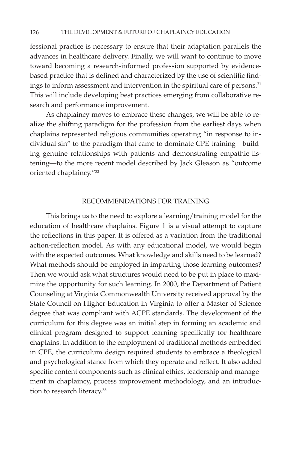fessional practice is necessary to ensure that their adaptation parallels the advances in healthcare delivery. Finally, we will want to continue to move toward becoming a research-informed profession supported by evidencebased practice that is defined and characterized by the use of scientific findings to inform assessment and intervention in the spiritual care of persons.<sup>31</sup> This will include developing best practices emerging from collaborative research and performance improvement.

As chaplaincy moves to embrace these changes, we will be able to realize the shifting paradigm for the profession from the earliest days when chaplains represented religious communities operating "in response to individual sin" to the paradigm that came to dominate CPE training—building genuine relationships with patients and demonstrating empathic listening—to the more recent model described by Jack Gleason as "outcome oriented chaplaincy."32

## RECOMMENDATIONS FOR TRAINING

This brings us to the need to explore a learning/training model for the education of healthcare chaplains. Figure 1 is a visual attempt to capture the reflections in this paper. It is offered as a variation from the traditional action-reflection model. As with any educational model, we would begin with the expected outcomes. What knowledge and skills need to be learned? What methods should be employed in imparting those learning outcomes? Then we would ask what structures would need to be put in place to maximize the opportunity for such learning. In 2000, the Department of Patient Counseling at Virginia Commonwealth University received approval by the State Council on Higher Education in Virginia to offer a Master of Science degree that was compliant with ACPE standards. The development of the curriculum for this degree was an initial step in forming an academic and clinical program designed to support learning specifically for healthcare chaplains. In addition to the employment of traditional methods embedded in CPE, the curriculum design required students to embrace a theological and psychological stance from which they operate and reflect. It also added specific content components such as clinical ethics, leadership and management in chaplaincy, process improvement methodology, and an introduction to research literacy.<sup>33</sup>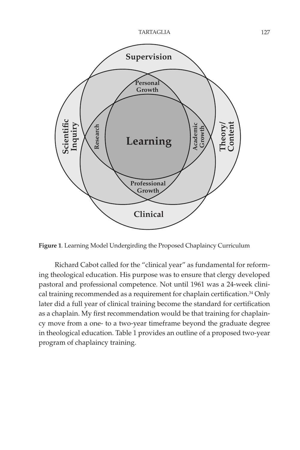

**Figure 1**. Learning Model Undergirding the Proposed Chaplaincy Curriculum

Richard Cabot called for the "clinical year" as fundamental for reforming theological education. His purpose was to ensure that clergy developed pastoral and professional competence. Not until 1961 was a 24-week clinical training recommended as a requirement for chaplain certification.<sup>34</sup> Only later did a full year of clinical training become the standard for certification as a chaplain. My first recommendation would be that training for chaplaincy move from a one- to a two-year timeframe beyond the graduate degree in theological education. Table 1 provides an outline of a proposed two-year program of chaplaincy training.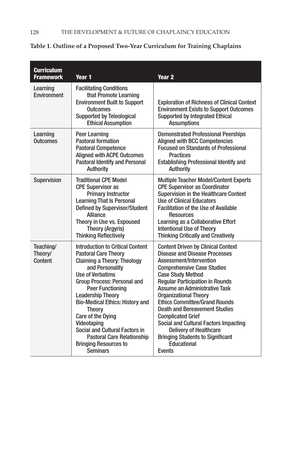| <b>Curriculum</b><br><b>Framework</b> | Year 1                                                                                                                                                                                                                                                                                                                                                                                                                                                             | Year <sub>2</sub>                                                                                                                                                                                                                                                                                                                                                                                                                                                                                                                                  |
|---------------------------------------|--------------------------------------------------------------------------------------------------------------------------------------------------------------------------------------------------------------------------------------------------------------------------------------------------------------------------------------------------------------------------------------------------------------------------------------------------------------------|----------------------------------------------------------------------------------------------------------------------------------------------------------------------------------------------------------------------------------------------------------------------------------------------------------------------------------------------------------------------------------------------------------------------------------------------------------------------------------------------------------------------------------------------------|
| Learning<br>Environment               | <b>Facilitating Conditions</b><br>that Promote Learning<br><b>Environment Built to Support</b><br><b>Outcomes</b><br><b>Supported by Teleological</b><br><b>Ethical Assumption</b>                                                                                                                                                                                                                                                                                 | <b>Exploration of Richness of Clinical Context</b><br><b>Environment Exists to Support Outcomes</b><br><b>Supported by Integrated Ethical</b><br><b>Assumptions</b>                                                                                                                                                                                                                                                                                                                                                                                |
| Learning<br>Outcomes                  | <b>Peer Learning</b><br><b>Pastoral formation</b><br><b>Pastoral Competence</b><br><b>Aligned with ACPE Outcomes</b><br><b>Pastoral Identify and Personal</b><br>Authority                                                                                                                                                                                                                                                                                         | <b>Demonstrated Professional Peerships</b><br><b>Aligned with BCC Competencies</b><br><b>Focused on Standards of Professional</b><br><b>Practices</b><br>Establishing Professional Identify and<br><b>Authority</b>                                                                                                                                                                                                                                                                                                                                |
| Supervision                           | <b>Traditional CPE Model</b><br><b>CPE Supervisor as</b><br><b>Primary Instructor</b><br><b>Learning That Is Personal</b><br><b>Defined by Supervisor/Student</b><br>Alliance<br>Theory in Use vs. Espoused<br><b>Theory (Argyris)</b><br><b>Thinking Reflectively</b>                                                                                                                                                                                             | <b>Multiple Teacher Model/Content Experts</b><br><b>CPE Supervisor as Coordinator</b><br>Supervision in the Healthcare Context<br><b>Use of Clinical Educators</b><br><b>Facilitation of the Use of Available</b><br><b>Resources</b><br>Learning as a Collaborative Effort<br><b>Intentional Use of Theory</b><br><b>Thinking Critically and Creatively</b>                                                                                                                                                                                       |
| Teaching/<br>Theory/<br>Content       | <b>Introduction to Critical Content</b><br><b>Pastoral Care Theory</b><br><b>Claiming a Theory: Theology</b><br>and Personality<br><b>Use of Verbatims</b><br>Group Process: Personal and<br><b>Peer Functioning</b><br><b>Leadership Theory</b><br><b>Bio-Medical Ethics: History and</b><br>Theory<br>Care of the Dying<br>Videotaping<br>Social and Cultural Factors in<br><b>Pastoral Care Relationship</b><br><b>Bringing Resources to</b><br><b>Seminars</b> | <b>Content Driven by Clinical Context</b><br><b>Disease and Disease Processes</b><br>Assessment/Intervention<br><b>Comprehensive Case Studies</b><br><b>Case Study Method</b><br><b>Regular Participation in Rounds</b><br>Assume an Administrative Task<br><b>Organizational Theory</b><br><b>Ethics Committee/Grand Rounds</b><br><b>Death and Bereavement Studies</b><br><b>Complicated Grief</b><br>Social and Cultural Factors Impacting<br><b>Delivery of Healthcare</b><br><b>Bringing Students to Significant</b><br>Educational<br>Events |

# **Table 1. Outline of a Proposed Two-Year Curriculum for Training Chaplains**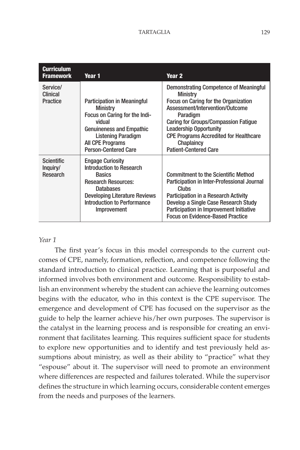| <b>Curriculum</b><br><b>Framework</b>     | Year 1                                                                                                                                                                                                              | Year 2                                                                                                                                                                                                                                                                                                                          |
|-------------------------------------------|---------------------------------------------------------------------------------------------------------------------------------------------------------------------------------------------------------------------|---------------------------------------------------------------------------------------------------------------------------------------------------------------------------------------------------------------------------------------------------------------------------------------------------------------------------------|
| Service/<br>Clinical<br>Practice          | <b>Participation in Meaningful</b><br><b>Ministry</b><br>Focus on Caring for the Indi-<br>vidual<br><b>Genuineness and Empathic</b><br>Listening Paradigm<br><b>All CPE Programs</b><br><b>Person-Centered Care</b> | Demonstrating Competence of Meaningful<br><b>Ministry</b><br>Focus on Caring for the Organization<br>Assessment/Intervention/Outcome<br>Paradigm<br><b>Caring for Groups/Compassion Fatique</b><br><b>Leadership Opportunity</b><br><b>CPE Programs Accredited for Healthcare</b><br>Chaplaincy<br><b>Patient-Centered Care</b> |
| <b>Scientific</b><br>Inquiry/<br>Research | <b>Engage Curiosity</b><br>Introduction to Research<br><b>Basics</b><br><b>Research Resources:</b><br><b>Databases</b><br><b>Developing Literature Reviews</b><br>Introduction to Performance<br>Improvement        | <b>Commitment to the Scientific Method</b><br>Participation in Inter-Professional Journal<br>Clubs<br>Participation in a Research Activity<br>Develop a Single Case Research Study<br>Participation in Improvement Initiative<br><b>Focus on Evidence-Based Practice</b>                                                        |

## *Year 1*

The first year's focus in this model corresponds to the current outcomes of CPE, namely, formation, reflection, and competence following the standard introduction to clinical practice. Learning that is purposeful and informed involves both environment and outcome. Responsibility to establish an environment whereby the student can achieve the learning outcomes begins with the educator, who in this context is the CPE supervisor. The emergence and development of CPE has focused on the supervisor as the guide to help the learner achieve his/her own purposes. The supervisor is the catalyst in the learning process and is responsible for creating an environment that facilitates learning. This requires sufficient space for students to explore new opportunities and to identify and test previously held assumptions about ministry, as well as their ability to "practice" what they "espouse" about it. The supervisor will need to promote an environment where differences are respected and failures tolerated. While the supervisor defines the structure in which learning occurs, considerable content emerges from the needs and purposes of the learners.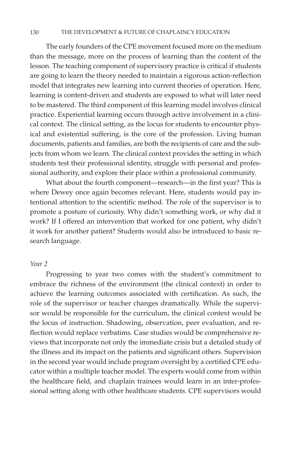#### 130 the Development & Future of Chaplaincy Education

The early founders of the CPE movement focused more on the medium than the message, more on the process of learning than the content of the lesson. The teaching component of supervisory practice is critical if students are going to learn the theory needed to maintain a rigorous action-reflection model that integrates new learning into current theories of operation. Here, learning is content-driven and students are exposed to what will later need to be mastered. The third component of this learning model involves clinical practice. Experiential learning occurs through active involvement in a clinical context. The clinical setting, as the locus for students to encounter physical and existential suffering, is the core of the profession. Living human documents, patients and families, are both the recipients of care and the subjects from whom we learn. The clinical context provides the setting in which students test their professional identity, struggle with personal and professional authority, and explore their place within a professional community.

What about the fourth component—research—in the first year? This is where Dewey once again becomes relevant. Here, students would pay intentional attention to the scientific method. The role of the supervisor is to promote a posture of curiosity. Why didn't something work, or why did it work? If I offered an intervention that worked for one patient, why didn't it work for another patient? Students would also be introduced to basic research language.

#### *Year 2*

Progressing to year two comes with the student's commitment to embrace the richness of the environment (the clinical context) in order to achieve the learning outcomes associated with certification. As such, the role of the supervisor or teacher changes dramatically. While the supervisor would be responsible for the curriculum, the clinical context would be the locus of instruction. Shadowing, observation, peer evaluation, and reflection would replace verbatims. Case studies would be comprehensive reviews that incorporate not only the immediate crisis but a detailed study of the illness and its impact on the patients and significant others. Supervision in the second year would include program oversight by a certified CPE educator within a multiple teacher model. The experts would come from within the healthcare field, and chaplain trainees would learn in an inter-professional setting along with other healthcare students. CPE supervisors would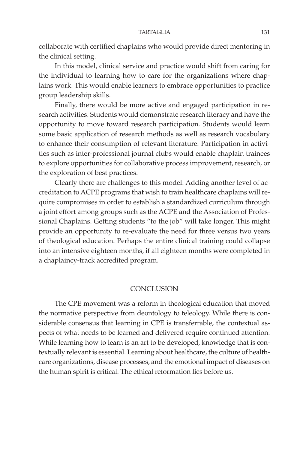collaborate with certified chaplains who would provide direct mentoring in the clinical setting.

In this model, clinical service and practice would shift from caring for the individual to learning how to care for the organizations where chaplains work. This would enable learners to embrace opportunities to practice group leadership skills.

Finally, there would be more active and engaged participation in research activities. Students would demonstrate research literacy and have the opportunity to move toward research participation. Students would learn some basic application of research methods as well as research vocabulary to enhance their consumption of relevant literature. Participation in activities such as inter-professional journal clubs would enable chaplain trainees to explore opportunities for collaborative process improvement, research, or the exploration of best practices.

Clearly there are challenges to this model. Adding another level of accreditation to ACPE programs that wish to train healthcare chaplains will require compromises in order to establish a standardized curriculum through a joint effort among groups such as the ACPE and the Association of Professional Chaplains. Getting students "to the job" will take longer. This might provide an opportunity to re-evaluate the need for three versus two years of theological education. Perhaps the entire clinical training could collapse into an intensive eighteen months, if all eighteen months were completed in a chaplaincy-track accredited program.

## **CONCLUSION**

The CPE movement was a reform in theological education that moved the normative perspective from deontology to teleology. While there is considerable consensus that learning in CPE is transferrable, the contextual aspects of what needs to be learned and delivered require continued attention. While learning how to learn is an art to be developed, knowledge that is contextually relevant is essential. Learning about healthcare, the culture of healthcare organizations, disease processes, and the emotional impact of diseases on the human spirit is critical. The ethical reformation lies before us.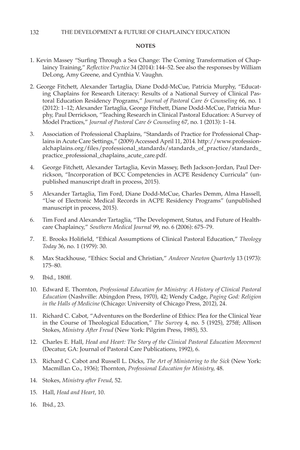#### **NOTES**

- 1. Kevin Massey "Surfing Through a Sea Change: The Coming Transformation of Chaplaincy Training," *Reflective Practice* 34 (2014): 144–52. See also the responses by William DeLong, Amy Greene, and Cynthia V. Vaughn.
- 2. George Fitchett, Alexander Tartaglia, Diane Dodd-McCue, Patricia Murphy, "Educating Chaplains for Research Literacy: Results of a National Survey of Clinical Pastoral Education Residency Programs," *Journal of Pastoral Care & Counseling* 66, no. 1 (2012): 1–12; Alexander Tartaglia, George Fitchett, Diane Dodd-McCue, Patricia Murphy, Paul Derrickson, "Teaching Research in Clinical Pastoral Education: A Survey of Model Practices," *Journal of Pastoral Care & Counseling* 67, no. 1 (2013): 1–14.
- 3. Association of Professional Chaplains, "Standards of Practice for Professional Chaplains in Acute Care Settings," (2009) Accessed April 11, 2014. http://www.professionalchaplains.org/files/professional\_standards/standards\_of\_practice/standards\_ practice\_professional\_chaplains\_acute\_care.pdf.
- 4. George Fitchett, Alexander Tartaglia, Kevin Massey, Beth Jackson-Jordan, Paul Derrickson, "Incorporation of BCC Competencies in ACPE Residency Curricula" (unpublished manuscript draft in process, 2015).
- 5 Alexander Tartaglia, Tim Ford, Diane Dodd-McCue, Charles Demm, Alma Hassell, "Use of Electronic Medical Records in ACPE Residency Programs" (unpublished manuscript in process, 2015).
- 6. Tim Ford and Alexander Tartaglia, "The Development, Status, and Future of Healthcare Chaplaincy," *Southern Medical Journal* 99, no. 6 (2006): 675–79.
- 7. E. Brooks Holifield, "Ethical Assumptions of Clinical Pastoral Education," *Theology Today* 36, no. 1 (1979): 30.
- 8. Max Stackhouse, "Ethics: Social and Christian," *Andover Newton Quarterly* 13 (1973): 175–80.
- 9. Ibid., 180ff.
- 10. Edward E. Thornton, *Professional Education for Ministry: A History of Clinical Pastoral Education* (Nashville: Abingdon Press, 1970), 42; Wendy Cadge, *Paging God: Religion in the Halls of Medicine* (Chicago: University of Chicago Press, 2012), 24.
- 11. Richard C. Cabot, "Adventures on the Borderline of Ethics: Plea for the Clinical Year in the Course of Theological Education," *The Survey* 4, no. 5 (1925), 275ff; Allison Stokes, *Ministry After Freud* (New York: Pilgrim Press, 1985), 53.
- 12. Charles E. Hall, *Head and Heart: The Story of the Clinical Pastoral Education Movement* (Decatur, GA: Journal of Pastoral Care Publications, 1992), 6.
- 13. Richard C. Cabot and Russell L. Dicks, *The Art of Ministering to the Sick* (New York: Macmillan Co., 1936); Thornton, *Professional Education for Ministry,* 48.
- 14. Stokes, *Ministry after Freud*, 52.
- 15. Hall, *Head and Heart*, 10.
- 16. Ibid., 23.